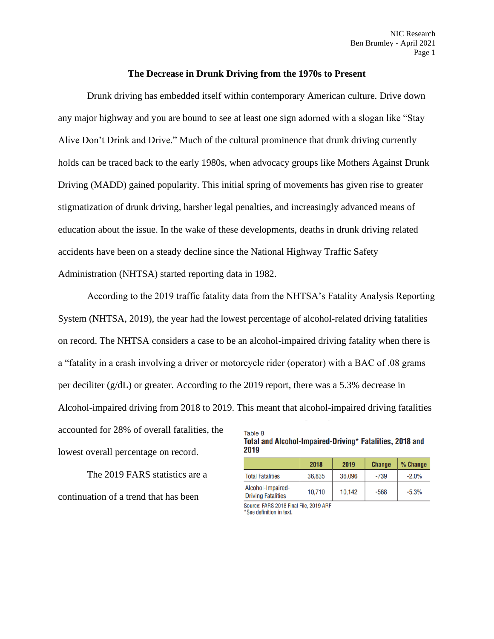## **The Decrease in Drunk Driving from the 1970s to Present**

Drunk driving has embedded itself within contemporary American culture. Drive down any major highway and you are bound to see at least one sign adorned with a slogan like "Stay Alive Don't Drink and Drive." Much of the cultural prominence that drunk driving currently holds can be traced back to the early 1980s, when advocacy groups like Mothers Against Drunk Driving (MADD) gained popularity. This initial spring of movements has given rise to greater stigmatization of drunk driving, harsher legal penalties, and increasingly advanced means of education about the issue. In the wake of these developments, deaths in drunk driving related accidents have been on a steady decline since the National Highway Traffic Safety Administration (NHTSA) started reporting data in 1982.

According to the 2019 traffic fatality data from the NHTSA's Fatality Analysis Reporting System (NHTSA, 2019), the year had the lowest percentage of alcohol-related driving fatalities on record. The NHTSA considers a case to be an alcohol-impaired driving fatality when there is a "fatality in a crash involving a driver or motorcycle rider (operator) with a BAC of .08 grams per deciliter (g/dL) or greater. According to the 2019 report, there was a 5.3% decrease in Alcohol-impaired driving from 2018 to 2019. This meant that alcohol-impaired driving fatalities accounted for 28% of overall fatalities, the Table 8

lowest overall percentage on record.

The 2019 FARS statistics are a continuation of a trend that has been

Total and Alcohol-Impaired-Driving\* Fatalities, 2018 and 2019

|                                                | 2018   | 2019   | <b>Change</b> | $%$ Change |
|------------------------------------------------|--------|--------|---------------|------------|
| <b>Total Fatalities</b>                        | 36,835 | 36,096 | -739          | $-2.0%$    |
| Alcohol-Impaired-<br><b>Driving Fatalities</b> | 10.710 | 10.142 | $-568$        | $-5.3%$    |

Source: FARS 2018 Final File, 2019 ARF See definition in text.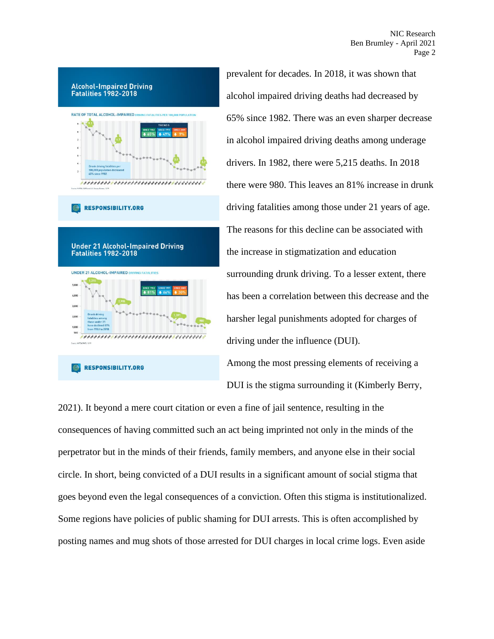NIC Research Ben Brumley - April 2021 Page 2



prevalent for decades. In 2018, it was shown that alcohol impaired driving deaths had decreased by 65% since 1982. There was an even sharper decrease in alcohol impaired driving deaths among underage drivers. In 1982, there were 5,215 deaths. In 2018 there were 980. This leaves an 81% increase in drunk driving fatalities among those under 21 years of age. The reasons for this decline can be associated with the increase in stigmatization and education surrounding drunk driving. To a lesser extent, there has been a correlation between this decrease and the harsher legal punishments adopted for charges of driving under the influence (DUI).

Among the most pressing elements of receiving a DUI is the stigma surrounding it (Kimberly Berry,

2021). It beyond a mere court citation or even a fine of jail sentence, resulting in the consequences of having committed such an act being imprinted not only in the minds of the perpetrator but in the minds of their friends, family members, and anyone else in their social circle. In short, being convicted of a DUI results in a significant amount of social stigma that goes beyond even the legal consequences of a conviction. Often this stigma is institutionalized. Some regions have policies of public shaming for DUI arrests. This is often accomplished by posting names and mug shots of those arrested for DUI charges in local crime logs. Even aside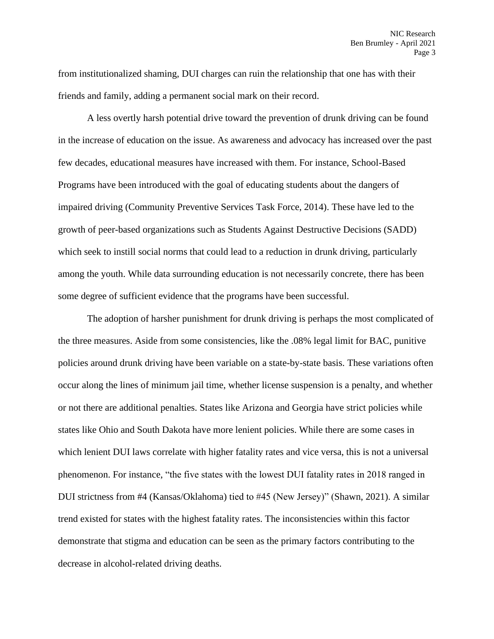from institutionalized shaming, DUI charges can ruin the relationship that one has with their friends and family, adding a permanent social mark on their record.

A less overtly harsh potential drive toward the prevention of drunk driving can be found in the increase of education on the issue. As awareness and advocacy has increased over the past few decades, educational measures have increased with them. For instance, School-Based Programs have been introduced with the goal of educating students about the dangers of impaired driving (Community Preventive Services Task Force, 2014). These have led to the growth of peer-based organizations such as Students Against Destructive Decisions (SADD) which seek to instill social norms that could lead to a reduction in drunk driving, particularly among the youth. While data surrounding education is not necessarily concrete, there has been some degree of sufficient evidence that the programs have been successful.

The adoption of harsher punishment for drunk driving is perhaps the most complicated of the three measures. Aside from some consistencies, like the .08% legal limit for BAC, punitive policies around drunk driving have been variable on a state-by-state basis. These variations often occur along the lines of minimum jail time, whether license suspension is a penalty, and whether or not there are additional penalties. States like Arizona and Georgia have strict policies while states like Ohio and South Dakota have more lenient policies. While there are some cases in which lenient DUI laws correlate with higher fatality rates and vice versa, this is not a universal phenomenon. For instance, "the five states with the lowest DUI fatality rates in 2018 ranged in DUI strictness from #4 (Kansas/Oklahoma) tied to #45 (New Jersey)" (Shawn, 2021). A similar trend existed for states with the highest fatality rates. The inconsistencies within this factor demonstrate that stigma and education can be seen as the primary factors contributing to the decrease in alcohol-related driving deaths.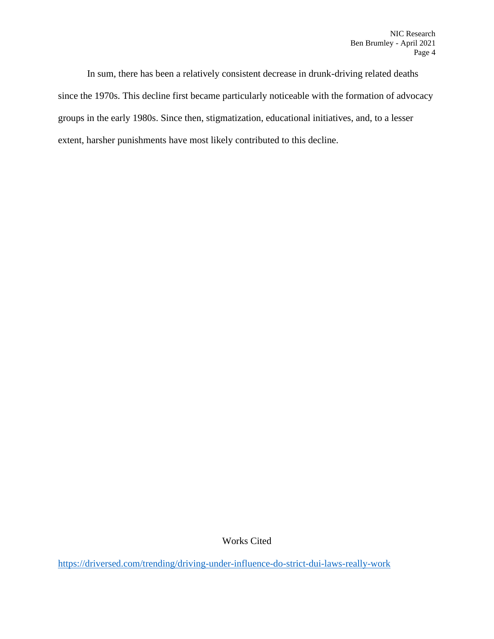In sum, there has been a relatively consistent decrease in drunk-driving related deaths since the 1970s. This decline first became particularly noticeable with the formation of advocacy groups in the early 1980s. Since then, stigmatization, educational initiatives, and, to a lesser extent, harsher punishments have most likely contributed to this decline.

Works Cited

<https://driversed.com/trending/driving-under-influence-do-strict-dui-laws-really-work>